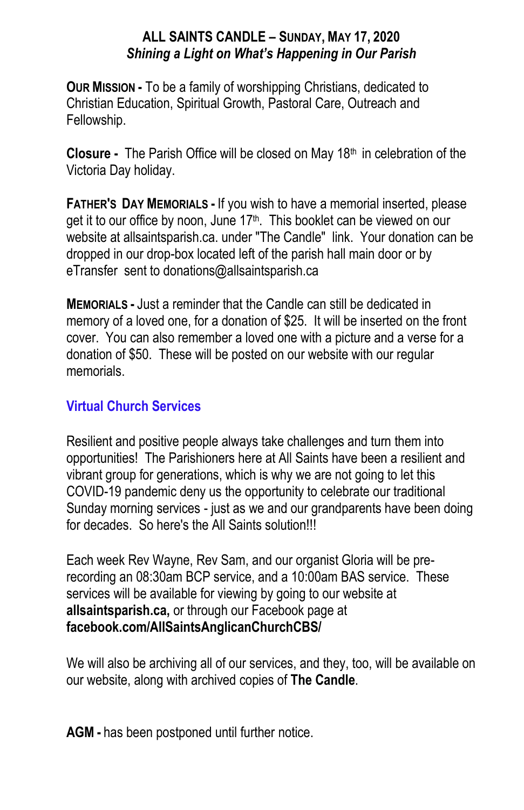#### **ALL SAINTS CANDLE – SUNDAY, MAY 17, 2020** *Shining a Light on What's Happening in Our Parish*

**OUR MISSION -** To be a family of worshipping Christians, dedicated to Christian Education, Spiritual Growth, Pastoral Care, Outreach and Fellowship.

**Closure -** The Parish Office will be closed on May 18<sup>th</sup> in celebration of the Victoria Day holiday.

**FATHER'S DAY MEMORIALS -** If you wish to have a memorial inserted, please get it to our office by noon, June 17<sup>th</sup>. This booklet can be viewed on our website at allsaintsparish.ca. under "The Candle" link. Your donation can be dropped in our drop-box located left of the parish hall main door or by eTransfer sent to donations@allsaintsparish.ca

**MEMORIALS -** Just a reminder that the Candle can still be dedicated in memory of a loved one, for a donation of \$25. It will be inserted on the front cover. You can also remember a loved one with a picture and a verse for a donation of \$50. These will be posted on our website with our regular memorials.

## **Virtual Church Services**

Resilient and positive people always take challenges and turn them into opportunities! The Parishioners here at All Saints have been a resilient and vibrant group for generations, which is why we are not going to let this COVID-19 pandemic deny us the opportunity to celebrate our traditional Sunday morning services - just as we and our grandparents have been doing for decades. So here's the All Saints solution!!!

Each week Rev Wayne, Rev Sam, and our organist Gloria will be prerecording an 08:30am BCP service, and a 10:00am BAS service. These services will be available for viewing by going to our website at **allsaintsparish.ca,** or through our Facebook page at **facebook.com/AllSaintsAnglicanChurchCBS/**

We will also be archiving all of our services, and they, too, will be available on our website, along with archived copies of **The Candle**.

**AGM -** has been postponed until further notice.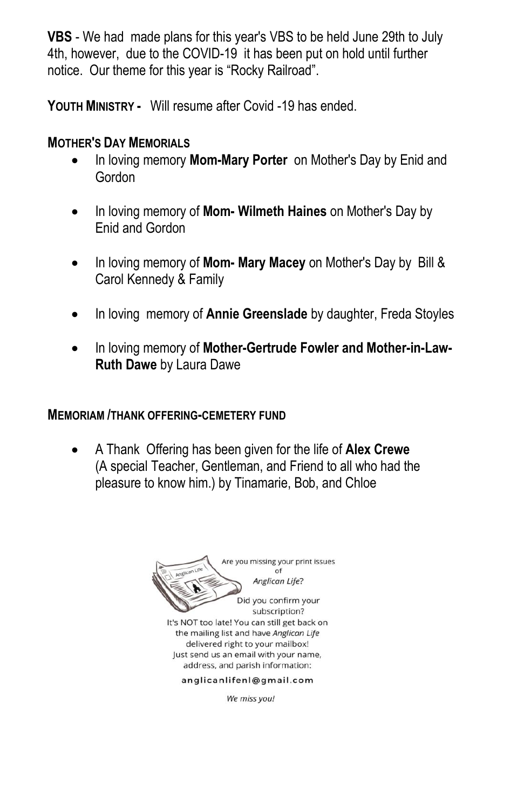**VBS** - We had made plans for this year's VBS to be held June 29th to July 4th, however, due to the COVID-19 it has been put on hold until further notice. Our theme for this year is "Rocky Railroad".

**YOUTH MINISTRY -** Will resume after Covid -19 has ended.

### **MOTHER'S DAY MEMORIALS**

- In loving memory **Mom-Mary Porter** on Mother's Day by Enid and Gordon
- In loving memory of **Mom- Wilmeth Haines** on Mother's Day by Enid and Gordon
- In loving memory of **Mom- Mary Macey** on Mother's Day by Bill & Carol Kennedy & Family
- In loving memory of **Annie Greenslade** by daughter, Freda Stoyles
- In loving memory of **Mother-Gertrude Fowler and Mother-in-Law-Ruth Dawe** by Laura Dawe

#### **MEMORIAM /THANK OFFERING-CEMETERY FUND**

 A Thank Offering has been given for the life of **Alex Crewe** (A special Teacher, Gentleman, and Friend to all who had the pleasure to know him.) by Tinamarie, Bob, and Chloe



We miss you!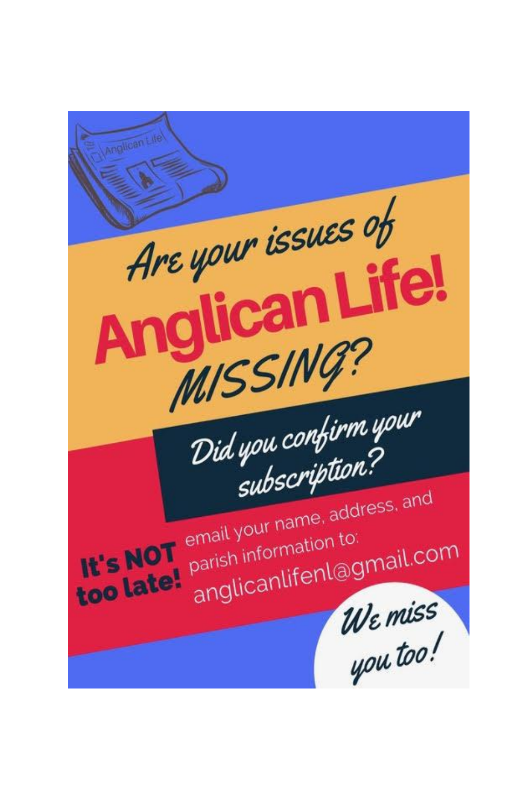